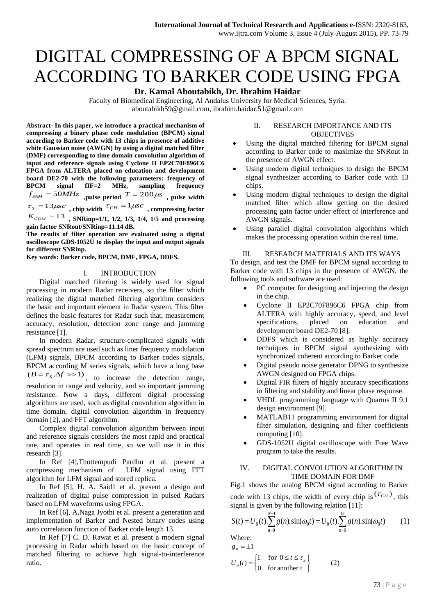# DIGITAL COMPRESSING OF A BPCM SIGNAL ACCORDING TO BARKER CODE USING FPGA

## **Dr. Kamal Aboutabikh, Dr. Ibrahim Haidar**

Faculty of Biomedical Engineering, Al Andalus University for Medical Sciences, Syria. aboutabikh59@gmail.com, ibrahim.haidar.51@gmail.com

**Abstract- In this paper, we introduce a practical mechanism of compressing a binary phase code modulation (BPCM) signal according to Barker code with 13 chips in presence of additive white Gaussian noise (AWGN) by using a digital matched filter (DMF) corresponding to time domain convolution algorithm of input and reference signals using Cyclone II EP2C70F896C6 FPGA from ALTERA placed on education and development board DE2-70 with the following parameters: frequency of BPCM signal fIF=2 MHz, sampling frequency**   $f_{SAM} = 50MHz$  , pulse period  $T = 200 \mu s$  , pulse width  $\tau_{S} = 13\mu$ s*c*, chip width  $\tau_{CH} = 1\mu$ s*c*, compressing factor  $K_{COM} = 13$ , SNRinp=1/1, 1/2, 1/3, 1/4, 1/5 and processing

**gain factor SNRout/SNRinp=11.14 dB. The results of filter operation are evaluated using a digital oscilloscope GDS-1052U to display the input and output signals for different SNRinp.**

**Key words: Barker code, BPCM, DMF, FPGA, DDFS.**

#### I. INTRODUCTION

Digital matched filtering is widely used for signal processing in modern Radar receivers, so the filter which realizing the digital matched filtering algorithm considers the basic and important element in Radar system. This filter defines the basic features for Radar such that, measurement accuracy, resolution, detection zone range and jamming resistance [1].

In modern Radar, structure-complicated signals with spread spectrum are used such as liner frequency modulation (LFM) signals, BPCM according to Barker codes signals, BPCM according M series signals, which have a long base  $(B = \tau_s \Delta f >> 1)$ , to increase the detection range, resolution in range and velocity, and so important jamming resistance. Now a days, different digital processing algorithms are used, such as digital convolution algorithm in time domain, digital convolution algorithm in frequency domain [2], and FFT algorithm.

Complex digital convolution algorithm between input and reference signals considers the most rapid and practical one, and operates in real time, so we will use it in this research [3].

In Ref [4],Thottempudi Pardhu et al. present a compressing mechanism of LFM signal using FFT algorithm for LFM signal and stored replica.

In Ref [5], H. A. Said1 et al. present a design and realization of digital pulse compression in pulsed Radars based on LFM waveforms using FPGA.

In Ref [6], A.Naga Jyothi et al. present a generation and implementation of Barker and Nested binary codes using auto correlation function of Barker code length 13.

In Ref [7] C. D. Rawat et al. present a modern signal processing in Radar which based on the basic concept of matched filtering to achieve high signal-to-interference ratio.

## II. RESEARCH IMPORTANCE AND ITS **OBJECTIVES**

- Using the digital matched filtering for BPCM signal according to Barker code to maximize the SNRout in the presence of AWGN effect.
- Using modern digital techniques to design the BPCM signal synthesizer according to Barker code with 13 chips.
- Using modern digital techniques to design the digital matched filter which allow getting on the desired processing gain factor under effect of interference and AWGN signals.
- Using parallel digital convolution algorithms which makes the processing operation within the real time.

#### III. RESEARCH MATERIALS AND ITS WAYS

To design, and test the DMF for BPCM signal according to Barker code with 13 chips in the presence of AWGN, the following tools and software are used:

- PC computer for designing and injecting the design in the chip.
- Cyclone II EP2C70F896C6 FPGA chip from ALTERA with highly accuracy, speed, and level specifications, placed on education and development board DE2-70 [8].
- DDFS which is considered as highly accuracy techniques in BPCM signal synthesizing with synchronized coherent according to Barker code.
- Digital pseudo noise generator DPNG to synthesize AWGN designed on FPGA chips.
- Digital FIR filters of highly accuracy specifications in filtering and stability and linear phase response.
- VHDL programming language with Quartus II 9.1 design environment [9].
- MATLAB11 programming environment for digital filter simulation, designing and filter coefficients computing [10].
- GDS-1052U digital oscilloscope with Free Wave program to take the results.

## IV. DIGITAL CONVOLUTION ALGORITHM IN TIME DOMAIN FOR DMF

Fig.1 shows the analog BPCM signal according to Barker code with 13 chips, the width of every chip is  $(\tau_{CH})$ , this signal is given by the following relation [11]:

$$
S(t) = U_0(t) \cdot \sum_{n=0}^{N-1} g(n) \cdot \sin(\omega_0 t) = U_0(t) \cdot \sum_{n=0}^{12} g(n) \cdot \sin(\omega_0 t)
$$
 (1)

Where:  $g_n = \pm 1$ 

$$
U_0(t) = \begin{cases} 1 & \text{for } 0 \le t \le \tau_s \\ 0 & \text{for another t} \end{cases}
$$
 (2)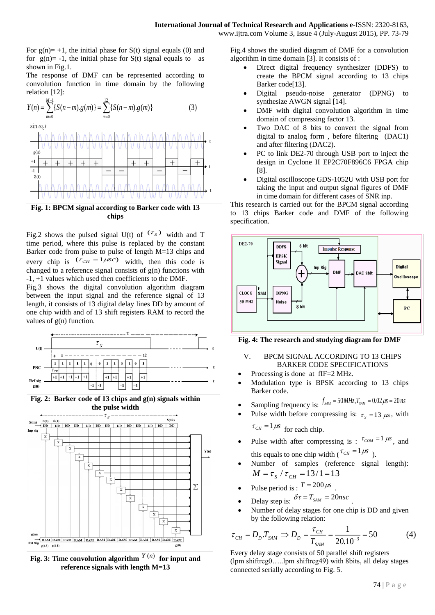For  $g(n) = +1$ , the initial phase for  $S(t)$  signal equals (0) and for  $g(n) = -1$ , the initial phase for  $S(t)$  signal equals to as shown in Fig.1.

The response of DMF can be represented according to convolution function in time domain by the following relation [12]:

$$
Y(n) = \sum_{m=0}^{M-1} \{S(n-m).g(m)\} = \sum_{m=0}^{12} \{S(n-m).g(m)\}
$$
(3)  
\n
$$
\frac{\left|\bigwedge_{g(m)}^{M}\bigwedge_{g(m)}^{M}\bigwedge_{g(m)}^{M}\bigwedge_{g(m)}^{M}\bigwedge_{g(m)}^{M}\bigwedge_{g(m)}^{M}\bigwedge_{g(m)}^{M}\bigwedge_{g(m)}^{M}\bigwedge_{g(m)}^{M}\bigwedge_{g(m)}^{M}\bigwedge_{g(m)}^{M}\bigwedge_{g(m)}^{M}\bigwedge_{g(m)}^{M}\bigwedge_{g(m)}^{M}\bigwedge_{g(m)}^{M}\bigwedge_{g(m)}^{M}\bigwedge_{g(m)}^{M}\bigwedge_{g(m)}^{M}\bigwedge_{g(m)}^{M}\bigwedge_{g(m)}^{M}\bigwedge_{g(m)}^{M}\bigwedge_{g(m)}^{M}\bigwedge_{g(m)}^{M}\bigwedge_{g(m)}^{M}\bigwedge_{g(m)}^{M}\bigwedge_{g(m)}^{M}\bigwedge_{g(m)}^{M}\bigwedge_{g(m)}^{M}\bigwedge_{g(m)}^{M}\bigwedge_{g(m)}^{M}\bigwedge_{g(m)}^{M}\bigwedge_{g(m)}^{M}\bigwedge_{g(m)}^{M}\bigwedge_{g(m)}^{M}\bigwedge_{g(m)}^{M}\bigwedge_{g(m)}^{M}\bigwedge_{g(m)}^{M}\bigwedge_{g(m)}^{M}\bigwedge_{g(m)}^{M}\bigwedge_{g(m)}^{M}\bigwedge_{g(m)}^{M}\bigwedge_{g(m)}^{M}\bigwedge_{g(m)}^{M}\bigwedge_{g(m)}^{M}\bigwedge_{g(m)}^{M}\bigwedge_{g(m)}^{M}\bigwedge_{g(m)}^{M}\bigwedge_{g(m)}^{M}\bigwedge_{g(m)}^{M}\bigwedge_{g(m)}^{M}\bigwedge_{g(m)}^{M}\bigwedge_{g(m)}^{M}\bigwedge_{g(m)}^{M}\bigwedge_{g(m)}^{M}\bigwedge_{g(m)}^{M}\bigwedge_{g(m)}^{M}\bigwedge_{g(m)}^{M}\bigwedge_{g(m)}^{M}\bigwedge_{g(m)}^{M}\bigwedge_{g(m)}^{M}\bigwedge_{g(m)}^{M}\bigwedge_{g(m)}^{M}\bigwedge_{g(m)}^{M}\bigwedge_{g(m)}^{M}\bigwedge_{g(m)}^{M}\bigwedge_{g(m)}^{M}\bigwedge_{g(m)}^{M}\bigwedge_{g(m)}^{M}\bigwedge_{g(m)}^{M}\bigwedge_{
$$

## **Fig. 1: BPCM signal according to Barker code with 13 chips**

<u>UUUUUUUWUUUUUWU</u>

Fig.2 shows the pulsed signal U(t) of  $(\tau_s)$  width and T time period, where this pulse is replaced by the constant Barker code from pulse to pulse of length M=13 chips and every chip is  $(\tau_{CH} = 1 \mu s c)$  width, then this code is changed to a reference signal consists of  $g(n)$  functions with -1, +1 values which used then coefficients to the DMF.

Fig.3 shows the digital convolution algorithm diagram between the input signal and the reference signal of 13 length, it consists of 13 digital delay lines DD by amount of one chip width and of 13 shift registers RAM to record the values of g(n) function.



**Fig. 2: Barker code of 13 chips and g(n) signals within the pulse width**



Fig. 3: Time convolution algorithm  $Y(n)$  for input and **reference signals with length M=13**

Fig.4 shows the studied diagram of DMF for a convolution algorithm in time domain [3]. It consists of :

- Direct digital frequency synthesizer (DDFS) to create the BPCM signal according to 13 chips Barker code[13].
- Digital pseudo-noise generator (DPNG) to synthesize AWGN signal [14].
- DMF with digital convolution algorithm in time domain of compressing factor 13.
- Two DAC of 8 bits to convert the signal from digital to analog form , before filtering (DAC1) and after filtering (DAC2).
- PC to link DE2-70 through USB port to inject the design in Cyclone II EP2C70F896C6 FPGA chip [8].
- Digital oscilloscope GDS-1052U with USB port for taking the input and output signal figures of DMF in time domain for different cases of SNR inp.

This research is carried out for the BPCM signal according to 13 chips Barker code and DMF of the following specification.



**Fig. 4: The research and studying diagram for DMF**

## V. BPCM SIGNAL ACCORDING TO 13 CHIPS BARKER CODE SPECIFICATIONS

- Processing is done at fIF=2 MHz.
- Modulation type is BPSK according to 13 chips Barker code.

• Sampling frequency is:  $f_{SAM} = 50 MHz$ ,  $T_{SAM} = 0.02 \mu s = 20 ns$ 

- Pulse width before compressing is:  $\tau_s = 13 \mu s$ , with  $\tau_{CH} = 1 \mu s$  for each chip.
- Pulse width after compressing is :  $\tau_{COM} = 1 \mu s$ , and this equals to one chip width ( $\tau_{CH} = 1 \mu s$ ).
- Number of samples (reference signal length):  $M = \tau_s / \tau_{CH} = 13/1 = 13$
- Pulse period is :  $T = 200 \mu s$ .
- Delay step is:  $\delta \tau = T_{sAM} = 20 n s c$ .
- Number of delay stages for one chip is DD and given by the following relation:

$$
\tau_{CH} = D_D T_{SAM} \Rightarrow D_D = \frac{\tau_{CH}}{T_{SAM}} = \frac{1}{20.10^{-3}} = 50
$$
 (4)

Every delay stage consists of 50 parallel shift registers (lpm shiftreg0…..lpm shiftreg49) with 8bits, all delay stages connected serially according to Fig. 5.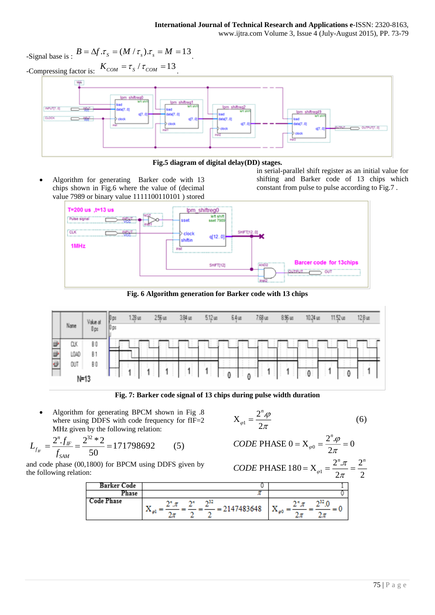-Signal base is :  $B = \Delta f \cdot \tau_s = (M / \tau_s) \cdot \tau_s = M = 13$ . -Compressing factor is:  $K_{COM} = \tau_s / \tau_{COM} = 13$ . 竿 Ipm shiftreg Ipm shiftreg Ipm\_shiftreg45 **GLOC** OUTPUT(7.0)



 Algorithm for generating Barker code with 13 chips shown in Fig.6 where the value of (decimal value 7989 or binary value 1111100110101 ) stored

in serial-parallel shift register as an initial value for shifting and Barker code of 13 chips which constant from pulse to pulse according to Fig.7 .



**Fig. 6 Algorithm generation for Barker code with 13 chips**



**Fig. 7: Barker code signal of 13 chips during pulse width duration**

 Algorithm for generating BPCM shown in Fig .8 where using DDFS with code frequency for fIF=2 MHz given by the following relation:

$$
X_{\varphi 1} = \frac{2^n \varphi}{2\pi} \tag{6}
$$

$$
L_{f_{IF}} = \frac{2^n . f_{IF}}{f_{SAM}} = \frac{2^{32} * 2}{50} = 171798692
$$
 (5)

and code phase (00,1800) for BPCM using DDFS given by the following relation:

**CODE PHASE** 
$$
0 = X_{\varphi 0} = \frac{2^n \cdot \varphi}{2\pi} = 0
$$
  
\n**CODE PHASE**  $180 = X_{\varphi 1} = \frac{2^n \cdot \pi}{2\pi} = \frac{2^n}{2}$ 

| Barker Code       |                              |             |
|-------------------|------------------------------|-------------|
| Phase             |                              |             |
| <b>⊃ode Phase</b> | $-32$<br>2147483648<br><br>۰ | n32 n<br>юQ |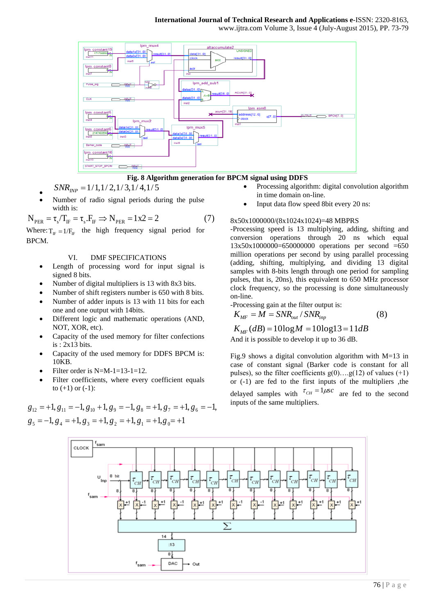## **International Journal of Technical Research and Applications e**-ISSN: 2320-8163,

www.ijtra.com Volume 3, Issue 4 (July-August 2015), PP. 73-79



**Fig. 8 Algorithm generation for BPCM signal using DDFS**

- $\bullet$  $SNR_{I\!N\!P} = 1/1, 1/2, 1/3, 1/4, 1/5$
- Number of radio signal periods during the pulse width is:

$$
N_{PER} = \tau_s / T_F = \tau_s . F_F \Rightarrow N_{PER} = 1 \times 2 = 2 \tag{7}
$$

Where:  $T_{IF} = 1/F_{IF}$  the high frequency signal period for BPCM.

## VI. DMF SPECIFICATIONS

- Length of processing word for input signal is signed 8 bits.
- Number of digital multipliers is 13 with 8x3 bits.
- Number of shift registers number is 650 with 8 bits.
- Number of adder inputs is 13 with 11 bits for each one and one output with 14bits.
- Different logic and mathematic operations (AND, NOT, XOR, etc).
- Capacity of the used memory for filter confections is : 2x13 bits.
- Capacity of the used memory for DDFS BPCM is: 10KB.
- Filter order is N=M-1=13-1=12.
- Filter coefficients, where every coefficient equals to  $(+1)$  or  $(-1)$ :

 $g_5 = -1, g_4 = +1, g_3 = +1, g_2 = +1, g_1 = +1, g_0 = +1$  $g_{12} = +1, g_{11} = -1, g_{10} + 1, g_{9} = -1, g_{8} = +1, g_{7} = +1, g_{6} = -1,$ 

- Processing algorithm: digital convolution algorithm in time domain on-line.
- Input data flow speed 8bit every 20 ns:

## 8x50x1000000/(8x1024x1024)=48 MBPRS

-Processing speed is 13 multiplying, adding, shifting and conversion operations through 20 ns which equal  $13x50x1000000=650000000$  operations per second  $=650$ million operations per second by using parallel processing (adding, shifting, multiplying, and dividing 13 digital samples with 8-bits length through one period for sampling pulses, that is, 20ns), this equivalent to 650 MHz processor clock frequency, so the processing is done simultaneously on-line.

-Processing gain at the filter output is:

$$
K_{MF} = \tilde{M} = \text{SNR}_{out} / \text{SNR}_{inp} \tag{8}
$$

$$
K_{MF}(dB) = 10\log M = 10\log 13 = 11dB
$$
  
And it is possible to develop it up to 36 dB.

And it is possible to develop it up to 36 dB.

Fig.9 shows a digital convolution algorithm with  $M=13$  in case of constant signal (Barker code is constant for all pulses), so the filter coefficients  $g(0)$ .... $g(12)$  of values (+1) or (-1) are fed to the first inputs of the multipliers ,the delayed samples with  $\tau_{CH} = 1 \mu s c$  are fed to the second inputs of the same multipliers.

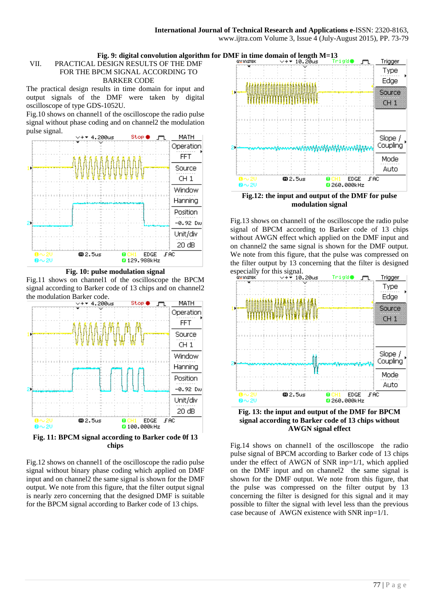## **Fig. 9: digital convolution algorithm for DMF in time domain of length M=13**<br>DESIGN RESULTS OF THE DMF

## VII. PRACTICAL DESIGN RESULTS OF THE DMF FOR THE BPCM SIGNAL ACCORDING TO BARKER CODE

The practical design results in time domain for input and output signals of the DMF were taken by digital oscilloscope of type GDS-1052U.

Fig.10 shows on channel1 of the oscilloscope the radio pulse signal without phase coding and on channel2 the modulation pulse signal.



**Fig. 10: pulse modulation signal**

Fig.11 shows on channel1 of the oscilloscope the BPCM signal according to Barker code of 13 chips and on channel2 the modulation Barker code.



**Fig. 11: BPCM signal according to Barker code 0f 13 chips**

Fig.12 shows on channel1 of the oscilloscope the radio pulse signal without binary phase coding which applied on DMF input and on channel2 the same signal is shown for the DMF output. We note from this figure, that the filter output signal is nearly zero concerning that the designed DMF is suitable for the BPCM signal according to Barker code of 13 chips.



**Fig.12: the input and output of the DMF for pulse modulation signal**

Fig.13 shows on channel1 of the oscilloscope the radio pulse signal of BPCM according to Barker code of 13 chips without AWGN effect which applied on the DMF input and on channel2 the same signal is shown for the DMF output. We note from this figure, that the pulse was compressed on the filter output by 13 concerning that the filter is designed especially for this signal.



**signal according to Barker code of 13 chips without AWGN signal effect**

Fig.14 shows on channel1 of the oscilloscope the radio pulse signal of BPCM according to Barker code of 13 chips under the effect of AWGN of SNR inp=1/1, which applied on the DMF input and on channel2 the same signal is shown for the DMF output. We note from this figure, that the pulse was compressed on the filter output by 13 concerning the filter is designed for this signal and it may possible to filter the signal with level less than the previous case because of AWGN existence with SNR inp=1/1.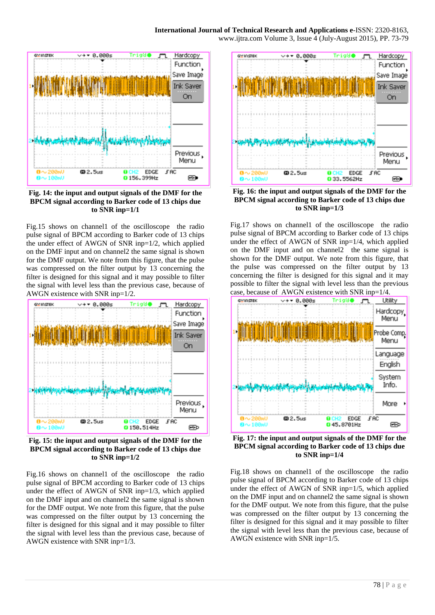## **International Journal of Technical Research and Applications e**-ISSN: 2320-8163,

www.ijtra.com Volume 3, Issue 4 (July-August 2015), PP. 73-79



**Fig. 14: the input and output signals of the DMF for the BPCM signal according to Barker code of 13 chips due to SNR inp=1/1**

Fig.15 shows on channel1 of the oscilloscope the radio pulse signal of BPCM according to Barker code of 13 chips the under effect of AWGN of SNR inp=1/2, which applied on the DMF input and on channel2 the same signal is shown for the DMF output. We note from this figure, that the pulse was compressed on the filter output by 13 concerning the filter is designed for this signal and it may possible to filter the signal with level less than the previous case, because of AWGN existence with SNR inp=1/2.



**Fig. 15: the input and output signals of the DMF for the BPCM signal according to Barker code of 13 chips due to SNR inp=1/2**

Fig.16 shows on channel1 of the oscilloscope the radio pulse signal of BPCM according to Barker code of 13 chips under the effect of AWGN of SNR inp=1/3, which applied on the DMF input and on channel2 the same signal is shown for the DMF output. We note from this figure, that the pulse was compressed on the filter output by 13 concerning the filter is designed for this signal and it may possible to filter the signal with level less than the previous case, because of AWGN existence with SNR inp=1/3.



**Fig. 16: the input and output signals of the DMF for the BPCM signal according to Barker code of 13 chips due to SNR inp=1/3**

Fig.17 shows on channel1 of the oscilloscope the radio pulse signal of BPCM according to Barker code of 13 chips under the effect of AWGN of SNR inp=1/4, which applied on the DMF input and on channel2 the same signal is shown for the DMF output. We note from this figure, that the pulse was compressed on the filter output by 13 concerning the filter is designed for this signal and it may possible to filter the signal with level less than the previous case, because of AWGN existence with SNR inp=1/4.



**Fig. 17: the input and output signals of the DMF for the BPCM signal according to Barker code of 13 chips due to SNR inp=1/4**

Fig.18 shows on channel1 of the oscilloscope the radio pulse signal of BPCM according to Barker code of 13 chips under the effect of AWGN of SNR inp=1/5, which applied on the DMF input and on channel2 the same signal is shown for the DMF output. We note from this figure, that the pulse was compressed on the filter output by 13 concerning the filter is designed for this signal and it may possible to filter the signal with level less than the previous case, because of AWGN existence with SNR inp=1/5.